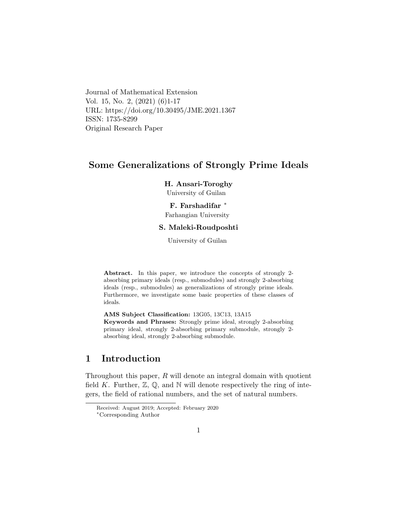Journal of Mathematical Extension Vol. 15, No. 2, (2021) (6)1-17 URL: https://doi.org/10.30495/JME.2021.1367 ISSN: 1735-8299 Original Research Paper

# Some Generalizations of Strongly Prime Ideals

### H. Ansari-Toroghy

University of Guilan

### F. Farshadifar [∗](#page-0-0)

Farhangian University

### S. Maleki-Roudposhti

University of Guilan

Abstract. In this paper, we introduce the concepts of strongly 2 absorbing primary ideals (resp., submodules) and strongly 2-absorbing ideals (resp., submodules) as generalizations of strongly prime ideals. Furthermore, we investigate some basic properties of these classes of ideals.

AMS Subject Classification: 13G05, 13C13, 13A15 Keywords and Phrases: Strongly prime ideal, strongly 2-absorbing primary ideal, strongly 2-absorbing primary submodule, strongly 2 absorbing ideal, strongly 2-absorbing submodule.

# 1 Introduction

Throughout this paper,  $R$  will denote an integral domain with quotient field K. Further,  $\mathbb{Z}, \mathbb{Q}$ , and  $\mathbb{N}$  will denote respectively the ring of integers, the field of rational numbers, and the set of natural numbers.

Received: August 2019; Accepted: February 2020

<span id="page-0-0"></span><sup>∗</sup>Corresponding Author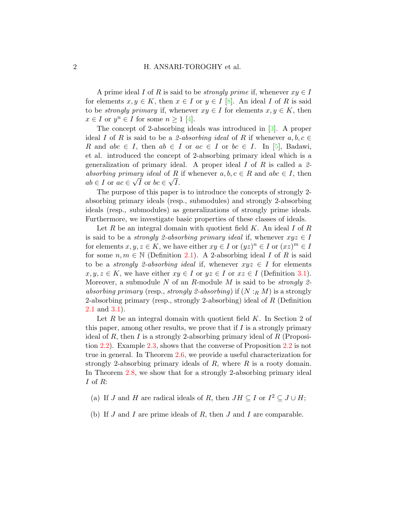A prime ideal I of R is said to be *strongly prime* if, whenever  $xy \in I$ for elements  $x, y \in K$ , then  $x \in I$  or  $y \in I$  [\[8\]](#page-15-0). An ideal I of R is said to be *strongly primary* if, whenever  $xy \in I$  for elements  $x, y \in K$ , then  $x \in I$  or  $y^n \in I$  for some  $n \geq 1$  [\[4\]](#page-15-1).

The concept of 2-absorbing ideals was introduced in [\[3\]](#page-15-2). A proper ideal I of R is said to be a 2-absorbing ideal of R if whenever  $a, b, c \in$ R and abc  $\in I$ , then  $ab \in I$  or  $ac \in I$  or  $bc \in I$ . In [\[5\]](#page-15-3), Badawi, et al. introduced the concept of 2-absorbing primary ideal which is a generalization of primary ideal. A proper ideal  $I$  of  $R$  is called a 2absorbing primary ideal of R if whenever  $a, b, c \in R$  and  $abc \in I$ , then  $ab \in I$  or  $ac \in \sqrt{I}$  or  $bc \in \sqrt{I}$ .

The purpose of this paper is to introduce the concepts of strongly 2 absorbing primary ideals (resp., submodules) and strongly 2-absorbing ideals (resp., submodules) as generalizations of strongly prime ideals. Furthermore, we investigate basic properties of these classes of ideals.

Let  $R$  be an integral domain with quotient field  $K$ . An ideal  $I$  of  $R$ is said to be a *strongly 2-absorbing primary ideal* if, whenever  $xyz \in I$ for elements  $x, y, z \in K$ , we have either  $xy \in I$  or  $(yz)^n \in I$  or  $(xz)^m \in I$ for some  $n, m \in \mathbb{N}$  (Definition [2.1\)](#page-2-0). A 2-absorbing ideal I of R is said to be a *strongly 2-absorbing ideal* if, whenever  $xyz \in I$  for elements  $x, y, z \in K$ , we have either  $xy \in I$  or  $yz \in I$  or  $xz \in I$  (Definition [3.1\)](#page-7-0). Moreover, a submodule  $N$  of an  $R$ -module  $M$  is said to be *strongly 2*absorbing primary (resp., strongly 2-absorbing) if  $(N :_R M)$  is a strongly 2-absorbing primary (resp., strongly 2-absorbing) ideal of R (Definition [2.1](#page-2-0) and [3.1\)](#page-7-0).

Let  $R$  be an integral domain with quotient field  $K$ . In Section 2 of this paper, among other results, we prove that if  $I$  is a strongly primary ideal of R, then I is a strongly 2-absorbing primary ideal of  $R$  (Proposition [2.2\)](#page-2-1). Example [2.3,](#page-3-0) shows that the converse of Proposition [2.2](#page-2-1) is not true in general. In Theorem [2.6,](#page-3-1) we provide a useful characterization for strongly 2-absorbing primary ideals of  $R$ , where  $R$  is a rooty domain. In Theorem [2.8,](#page-4-0) we show that for a strongly 2-absorbing primary ideal I of R:

(a) If J and H are radical ideals of R, then  $JH \subseteq I$  or  $I^2 \subseteq J \cup H$ ;

(b) If  $J$  and  $I$  are prime ideals of  $R$ , then  $J$  and  $I$  are comparable.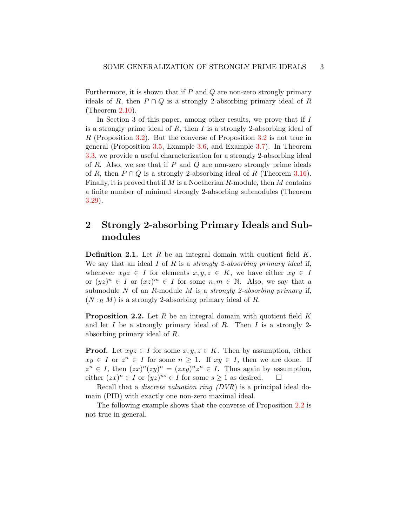Furthermore, it is shown that if  $P$  and  $Q$  are non-zero strongly primary ideals of R, then  $P \cap Q$  is a strongly 2-absorbing primary ideal of R (Theorem [2.10\)](#page-5-0).

In Section 3 of this paper, among other results, we prove that if I is a strongly prime ideal of  $R$ , then  $I$  is a strongly 2-absorbing ideal of R (Proposition [3.2\)](#page-7-1). But the converse of Proposition [3.2](#page-7-1) is not true in general (Proposition [3.5,](#page-8-0) Example [3.6,](#page-8-1) and Example [3.7\)](#page-9-0). In Theorem [3.3,](#page-7-2) we provide a useful characterization for a strongly 2-absorbing ideal of R. Also, we see that if P and Q are non-zero strongly prime ideals of R, then  $P \cap Q$  is a strongly 2-absorbing ideal of R (Theorem [3.16\)](#page-10-0). Finally, it is proved that if  $M$  is a Noetherian  $R$ -module, then  $M$  contains a finite number of minimal strongly 2-absorbing submodules (Theorem [3.29\)](#page-14-0).

# 2 Strongly 2-absorbing Primary Ideals and Submodules

<span id="page-2-0"></span>**Definition 2.1.** Let R be an integral domain with quotient field  $K$ . We say that an ideal  $I$  of  $R$  is a *strongly 2-absorbing primary ideal* if, whenever  $xyz \in I$  for elements  $x, y, z \in K$ , we have either  $xy \in I$ or  $(yz)^n \in I$  or  $(xz)^m \in I$  for some  $n, m \in \mathbb{N}$ . Also, we say that a submodule N of an R-module M is a *strongly 2-absorbing primary* if,  $(N:_{R} M)$  is a strongly 2-absorbing primary ideal of R.

<span id="page-2-1"></span>**Proposition 2.2.** Let R be an integral domain with quotient field K and let  $I$  be a strongly primary ideal of  $R$ . Then  $I$  is a strongly 2absorbing primary ideal of R.

**Proof.** Let  $xyz \in I$  for some  $x, y, z \in K$ . Then by assumption, either  $xy \in I$  or  $z^n \in I$  for some  $n \geq 1$ . If  $xy \in I$ , then we are done. If  $z^n \in I$ , then  $(zx)^n (zy)^n = (zxy)^n z^n \in I$ . Thus again by assumption, either  $(zx)^n \in I$  or  $(yz)^{ns} \in I$  for some  $s \ge 1$  as desired.  $\square$ 

Recall that a discrete valuation ring (DVR) is a principal ideal domain (PID) with exactly one non-zero maximal ideal.

The following example shows that the converse of Proposition [2.2](#page-2-1) is not true in general.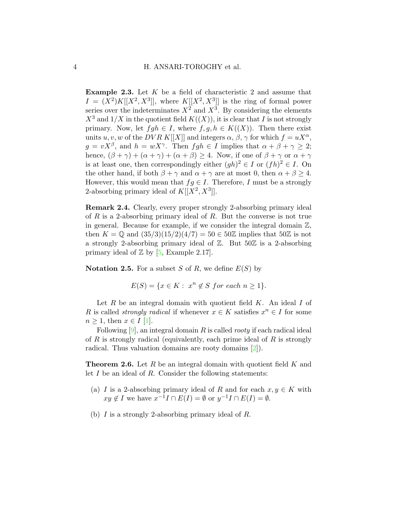<span id="page-3-0"></span>Example 2.3. Let K be a field of characteristic 2 and assume that  $I = (X^2)K[[X^2, X^3]],$  where  $K[[X^2, X^3]]$  is the ring of formal power series over the indeterminates  $X^2$  and  $X^3$ . By considering the elements  $X^3$  and  $1/X$  in the quotient field  $K((X))$ , it is clear that I is not strongly primary. Now, let  $fgh \in I$ , where  $f, g, h \in K((X))$ . Then there exist units u, v, w of the DVR K[[X]] and integers  $\alpha$ ,  $\beta$ ,  $\gamma$  for which  $f = uX^{\alpha}$ ,  $g = vX^{\beta}$ , and  $h = wX^{\gamma}$ . Then  $fgh \in I$  implies that  $\alpha + \beta + \gamma \geq 2$ ; hence,  $(\beta + \gamma) + (\alpha + \gamma) + (\alpha + \beta) \ge 4$ . Now, if one of  $\beta + \gamma$  or  $\alpha + \gamma$ is at least one, then correspondingly either  $(gh)^2 \in I$  or  $(fh)^2 \in I$ . On the other hand, if both  $\beta + \gamma$  and  $\alpha + \gamma$  are at most 0, then  $\alpha + \beta \ge 4$ . However, this would mean that  $fg \in I$ . Therefore, I must be a strongly 2-absorbing primary ideal of  $K[[X^2, X^3]].$ 

Remark 2.4. Clearly, every proper strongly 2-absorbing primary ideal of R is a 2-absorbing primary ideal of R. But the converse is not true in general. Because for example, if we consider the integral domain  $\mathbb{Z}$ , then  $K = \mathbb{Q}$  and  $(35/3)(15/2)(4/7) = 50 \in 50\mathbb{Z}$  implies that  $50\mathbb{Z}$  is not a strongly 2-absorbing primary ideal of Z. But 50Z is a 2-absorbing primary ideal of  $\mathbb{Z}$  by [\[5,](#page-15-3) Example 2.17].

**Notation 2.5.** For a subset S of R, we define  $E(S)$  by

$$
E(S) = \{ x \in K : x^n \notin S \text{ for each } n \ge 1 \}.
$$

Let  $R$  be an integral domain with quotient field  $K$ . An ideal  $I$  of R is called *strongly radical* if whenever  $x \in K$  satisfies  $x^n \in I$  for some  $n \geq 1$ , then  $x \in I$  [\[1\]](#page-15-4).

Following  $[9]$ , an integral domain R is called *rooty* if each radical ideal of R is strongly radical (equivalently, each prime ideal of R is strongly radical. Thus valuation domains are rooty domains [\[2\]](#page-15-6)).

<span id="page-3-1"></span>**Theorem 2.6.** Let R be an integral domain with quotient field K and let  $I$  be an ideal of  $R$ . Consider the following statements:

- (a) I is a 2-absorbing primary ideal of R and for each  $x, y \in K$  with  $xy \notin I$  we have  $x^{-1}I \cap E(I) = \emptyset$  or  $y^{-1}I \cap E(I) = \emptyset$ .
- (b) I is a strongly 2-absorbing primary ideal of R.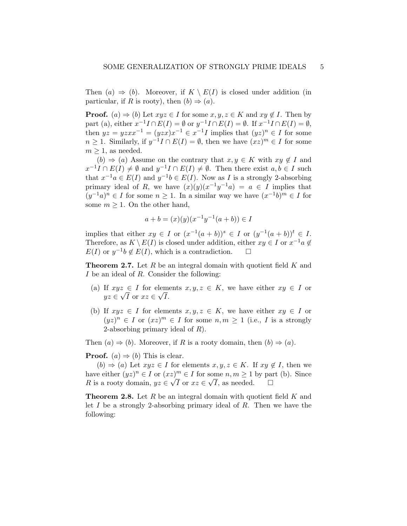Then  $(a) \Rightarrow (b)$ . Moreover, if  $K \setminus E(I)$  is closed under addition (in particular, if R is rooty), then  $(b) \Rightarrow (a)$ .

**Proof.** (a)  $\Rightarrow$  (b) Let  $xyz \in I$  for some  $x, y, z \in K$  and  $xy \notin I$ . Then by part (a), either  $x^{-1}I \cap E(I) = \emptyset$  or  $y^{-1}I \cap E(I) = \emptyset$ . If  $x^{-1}I \cap E(I) = \emptyset$ , then  $yz = yzxx^{-1} = (yzx)x^{-1} \in x^{-1}I$  implies that  $(yz)^n \in I$  for some  $n \geq 1$ . Similarly, if  $y^{-1}I \cap E(I) = \emptyset$ , then we have  $(xz)^m \in I$  for some  $m > 1$ , as needed.

 $(b) \Rightarrow (a)$  Assume on the contrary that  $x, y \in K$  with  $xy \notin I$  and  $x^{-1}I \cap E(I) \neq \emptyset$  and  $y^{-1}I \cap E(I) \neq \emptyset$ . Then there exist  $a, b \in I$  such that  $x^{-1}a \in E(I)$  and  $y^{-1}b \in E(I)$ . Now as I is a strongly 2-absorbing primary ideal of R, we have  $(x)(y)(x^{-1}y^{-1}a) = a \in I$  implies that  $(y^{-1}a)^n \in I$  for some  $n \geq 1$ . In a similar way we have  $(x^{-1}b)^m \in I$  for some  $m \geq 1$ . On the other hand,

$$
a + b = (x)(y)(x^{-1}y^{-1}(a+b)) \in I
$$

implies that either  $xy \in I$  or  $(x^{-1}(a+b))^s \in I$  or  $(y^{-1}(a+b))^t \in I$ . Therefore, as  $K \setminus E(I)$  is closed under addition, either  $xy \in I$  or  $x^{-1}a \notin$  $E(I)$  or  $y^{-1}b \notin E(I)$ , which is a contradiction.  $\square$ 

**Theorem 2.7.** Let  $R$  be an integral domain with quotient field  $K$  and I be an ideal of R. Consider the following:

- (a) If  $xyz \in I$  for elements  $x, y, z \in K$ , we have either  $xy \in I$  or  $yz \in \sqrt{I}$  or  $xz \in \sqrt{I}$ .
- (b) If  $xyz \in I$  for elements  $x, y, z \in K$ , we have either  $xy \in I$  or  $(yz)^n \in I$  or  $(xz)^m \in I$  for some  $n, m \ge 1$  (i.e., I is a strongly 2-absorbing primary ideal of  $R$ ).

Then  $(a) \Rightarrow (b)$ . Moreover, if R is a rooty domain, then  $(b) \Rightarrow (a)$ .

**Proof.** (a)  $\Rightarrow$  (b) This is clear.

 $(b) \Rightarrow (a)$  Let  $xyz \in I$  for elements  $x, y, z \in K$ . If  $xy \notin I$ , then we have either  $(yz)^n \in I$  or  $(xz)^m \in I$  for some  $n, m \ge 1$  by part (b). Since R is a rooty domain,  $yz \in \sqrt{I}$  or  $xz \in \sqrt{I}$ , as needed.  $\square$ 

<span id="page-4-0"></span>**Theorem 2.8.** Let  $R$  be an integral domain with quotient field  $K$  and let I be a strongly 2-absorbing primary ideal of R. Then we have the following: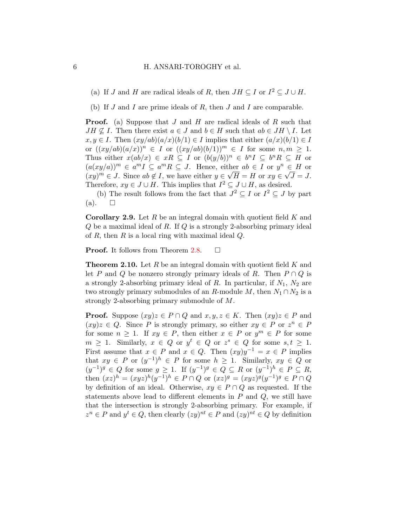(a) If J and H are radical ideals of R, then  $JH \subseteq I$  or  $I^2 \subseteq J \cup H$ .

(b) If  $J$  and  $I$  are prime ideals of  $R$ , then  $J$  and  $I$  are comparable.

**Proof.** (a) Suppose that J and H are radical ideals of R such that  $JH \nsubseteq I$ . Then there exist  $a \in J$  and  $b \in H$  such that  $ab \in JH \setminus I$ . Let  $x, y \in I$ . Then  $(xy/ab)(a/x)(b/1) \in I$  implies that either  $(a/x)(b/1) \in I$ or  $((xy/ab)(a/x))^n \in I$  or  $((xy/ab)(b/1))^m \in I$  for some  $n, m \geq 1$ . Thus either  $x(ab/x) \in xR \subseteq I$  or  $(b(y/b))^n \in b^nI \subseteq b^nR \subseteq H$  or  $(a(xy/a))^m \in a^m I \subseteq a^m R \subseteq J$ . Hence, either  $ab \in I$  or  $y^n \in H$  or  $(xy)^m \in J$ . Since  $ab \notin I$ , we have either  $y \in \sqrt{H} = H$  or  $xy \in \sqrt{J} = J$ . Therefore,  $xy \in J \cup H$ . This implies that  $I^2 \subseteq J \cup H$ , as desired.

(b) The result follows from the fact that  $J^2 \subseteq I$  or  $I^2 \subseteq J$  by part  $(a)$ .  $\square$ 

**Corollary 2.9.** Let R be an integral domain with quotient field K and  $Q$  be a maximal ideal of  $R$ . If  $Q$  is a strongly 2-absorbing primary ideal of R, then R is a local ring with maximal ideal  $Q$ .

**Proof.** It follows from Theorem [2.8.](#page-4-0)  $\Box$ 

<span id="page-5-0"></span>**Theorem 2.10.** Let R be an integral domain with quotient field K and let P and Q be nonzero strongly primary ideals of R. Then  $P \cap Q$  is a strongly 2-absorbing primary ideal of  $R$ . In particular, if  $N_1$ ,  $N_2$  are two strongly primary submodules of an R-module M, then  $N_1 \cap N_2$  is a strongly 2-absorbing primary submodule of M.

**Proof.** Suppose  $(xy)z \in P \cap Q$  and  $x, y, z \in K$ . Then  $(xy)z \in P$  and  $(xy)z \in Q$ . Since P is strongly primary, so either  $xy \in P$  or  $z^n \in P$ for some  $n \geq 1$ . If  $xy \in P$ , then either  $x \in P$  or  $y^m \in P$  for some  $m \geq 1$ . Similarly,  $x \in Q$  or  $y^t \in Q$  or  $z^s \in Q$  for some  $s, t \geq 1$ . First assume that  $x \in P$  and  $x \in Q$ . Then  $(xy)y^{-1} = x \in P$  implies that  $xy \in P$  or  $(y^{-1})^h \in P$  for some  $h \ge 1$ . Similarly,  $xy \in Q$  or  $(y^{-1})^g \in Q$  for some  $g \ge 1$ . If  $(y^{-1})^g \in Q \subseteq R$  or  $(y^{-1})^h \in P \subseteq R$ , then  $(xz)^h = (xyz)^h (y^{-1})^h \in P \cap Q$  or  $(xz)^g = (xyz)^g (y^{-1})^g \in P \cap Q$ by definition of an ideal. Otherwise,  $xy \in P \cap Q$  as requested. If the statements above lead to different elements in  $P$  and  $Q$ , we still have that the intersection is strongly 2-absorbing primary. For example, if  $z^n \in P$  and  $y^t \in Q$ , then clearly  $(zy)^{nt} \in P$  and  $(zy)^{nt} \in Q$  by definition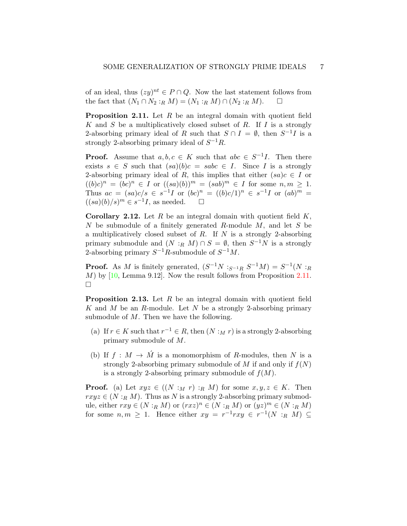of an ideal, thus  $(zy)^{nt} \in P \cap Q$ . Now the last statement follows from the fact that  $(N_1 \cap N_2 :_R M) = (N_1 :_R M) \cap (N_2 :_R M)$ .  $\Box$ 

<span id="page-6-0"></span>**Proposition 2.11.** Let  $R$  be an integral domain with quotient field K and S be a multiplicatively closed subset of R. If I is a strongly 2-absorbing primary ideal of R such that  $S \cap I = \emptyset$ , then  $S^{-1}I$  is a strongly 2-absorbing primary ideal of  $S^{-1}R$ .

**Proof.** Assume that  $a, b, c \in K$  such that  $abc \in S^{-1}I$ . Then there exists  $s \in S$  such that  $(sa)(b)c = sabc \in I$ . Since I is a strongly 2-absorbing primary ideal of R, this implies that either  $(sa)c \in I$  or  $((b)c)^n = (bc)^n \in I$  or  $((sa)(b))^m = (sab)^m \in I$  for some  $n, m \ge 1$ . Thus  $ac = (sa)c/s \in s^{-1}I$  or  $(bc)^n = ((b)c/1)^n \in s^{-1}I$  or  $(ab)^m =$  $((sa)(b)/s)^m \in s^{-1}I$ , as needed.  $\square$ 

**Corollary 2.12.** Let R be an integral domain with quotient field  $K$ , N be submodule of a finitely generated R-module M, and let S be a multiplicatively closed subset of  $R$ . If  $N$  is a strongly 2-absorbing primary submodule and  $(N :_R M) \cap S = \emptyset$ , then  $S^{-1}N$  is a strongly 2-absorbing primary  $S^{-1}R$ -submodule of  $S^{-1}M$ .

**Proof.** As M is finitely generated,  $(S^{-1}N :_{S^{-1}R} S^{-1}M) = S^{-1}(N :_{R}$  $M$ ) by [\[10,](#page-15-7) Lemma 9.12]. Now the result follows from Proposition [2.11.](#page-6-0)  $\Box$ 

<span id="page-6-1"></span>**Proposition 2.13.** Let  $R$  be an integral domain with quotient field K and M be an R-module. Let N be a strongly 2-absorbing primary submodule of  $M$ . Then we have the following.

- (a) If  $r \in K$  such that  $r^{-1} \in R$ , then  $(N :_M r)$  is a strongly 2-absorbing primary submodule of M.
- (b) If  $f : M \to \hat{M}$  is a monomorphism of R-modules, then N is a strongly 2-absorbing primary submodule of M if and only if  $f(N)$ is a strongly 2-absorbing primary submodule of  $f(M)$ .

**Proof.** (a) Let  $xyz \in ((N :_M r) :_R M)$  for some  $x, y, z \in K$ . Then  $rxyz \in (N:_{R} M)$ . Thus as N is a strongly 2-absorbing primary submodule, either  $rxy \in (N :_R M)$  or  $(rxz)^n \in (N :_R M)$  or  $(yz)^m \in (N :_R M)$ for some  $n, m \geq 1$ . Hence either  $xy = r^{-1}rxy \in r^{-1}(N :_R M) \subseteq$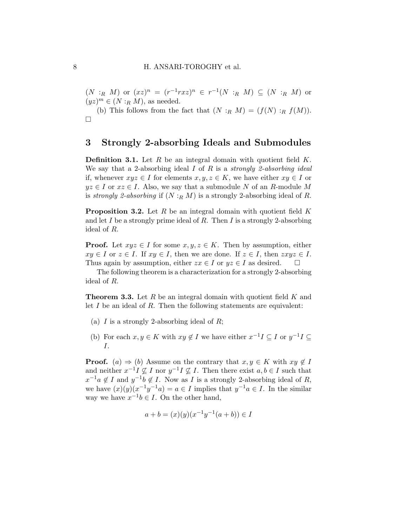$(N:_{R} M)$  or  $(xz)^{n} = (r^{-1}rxz)^{n} \in r^{-1}(N:_{R} M) \subseteq (N:_{R} M)$  or  $(yz)^m \in (N :_R M)$ , as needed.

(b) This follows from the fact that  $(N :_R M) = (f(N) :_R f(M)).$  $\Box$ 

# 3 Strongly 2-absorbing Ideals and Submodules

<span id="page-7-0"></span>**Definition 3.1.** Let  $R$  be an integral domain with quotient field  $K$ . We say that a 2-absorbing ideal  $I$  of  $R$  is a *strongly 2-absorbing ideal* if, whenever  $xyz \in I$  for elements  $x, y, z \in K$ , we have either  $xy \in I$  or  $yz \in I$  or  $xz \in I$ . Also, we say that a submodule N of an R-module M is strongly 2-absorbing if  $(N :_R M)$  is a strongly 2-absorbing ideal of R.

<span id="page-7-1"></span>**Proposition 3.2.** Let R be an integral domain with quotient field K and let I be a strongly prime ideal of R. Then I is a strongly 2-absorbing ideal of R.

**Proof.** Let  $xyz \in I$  for some  $x, y, z \in K$ . Then by assumption, either  $xy \in I$  or  $z \in I$ . If  $xy \in I$ , then we are done. If  $z \in I$ , then  $zxyz \in I$ . Thus again by assumption, either  $zx \in I$  or  $yz \in I$  as desired.  $\square$ 

The following theorem is a characterization for a strongly 2-absorbing ideal of R.

<span id="page-7-2"></span>**Theorem 3.3.** Let R be an integral domain with quotient field K and let  $I$  be an ideal of  $R$ . Then the following statements are equivalent:

- (a)  $I$  is a strongly 2-absorbing ideal of  $R$ ;
- (b) For each  $x, y \in K$  with  $xy \notin I$  we have either  $x^{-1}I \subseteq I$  or  $y^{-1}I \subseteq I$ I.

**Proof.** (a)  $\Rightarrow$  (b) Assume on the contrary that  $x, y \in K$  with  $xy \notin I$ and neither  $x^{-1}I \nsubseteq I$  nor  $y^{-1}I \nsubseteq I$ . Then there exist  $a, b \in I$  such that  $x^{-1}a \notin I$  and  $y^{-1}b \notin I$ . Now as I is a strongly 2-absorbing ideal of R, we have  $(x)(y)(x^{-1}y^{-1}a) = a \in I$  implies that  $y^{-1}a \in I$ . In the similar way we have  $x^{-1}b \in I$ . On the other hand,

$$
a + b = (x)(y)(x^{-1}y^{-1}(a+b)) \in I
$$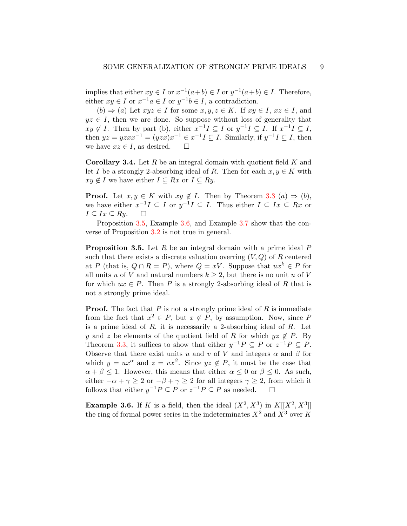implies that either  $xy \in I$  or  $x^{-1}(a+b) \in I$  or  $y^{-1}(a+b) \in I$ . Therefore, either  $xy \in I$  or  $x^{-1}a \in I$  or  $y^{-1}b \in I$ , a contradiction.

 $(b) \Rightarrow (a)$  Let  $xyz \in I$  for some  $x, y, z \in K$ . If  $xy \in I$ ,  $xz \in I$ , and  $yz \in I$ , then we are done. So suppose without loss of generality that  $xy \notin I$ . Then by part (b), either  $x^{-1}I \subseteq I$  or  $y^{-1}I \subseteq I$ . If  $x^{-1}I \subseteq I$ , then  $yz = yzxx^{-1} = (yzx)x^{-1} \in x^{-1}I \subseteq I$ . Similarly, if  $y^{-1}I \subseteq I$ , then we have  $xz \in I$ , as desired.  $\square$ 

**Corollary 3.4.** Let  $R$  be an integral domain with quotient field  $K$  and let I be a strongly 2-absorbing ideal of R. Then for each  $x, y \in K$  with  $xy \notin I$  we have either  $I \subseteq Rx$  or  $I \subseteq Ry$ .

**Proof.** Let  $x, y \in K$  with  $xy \notin I$ . Then by Theorem [3.3](#page-7-2)  $(a) \Rightarrow (b)$ , we have either  $x^{-1}I \subseteq I$  or  $y^{-1}I \subseteq I$ . Thus either  $I \subseteq I_x \subseteq Rx$  or  $I \subseteq I_x \subseteq Ry$ .

Proposition [3.5,](#page-8-0) Example [3.6,](#page-8-1) and Example [3.7](#page-9-0) show that the converse of Proposition [3.2](#page-7-1) is not true in general.

<span id="page-8-0"></span>**Proposition 3.5.** Let  $R$  be an integral domain with a prime ideal  $P$ such that there exists a discrete valuation overring  $(V, Q)$  of R centered at P (that is,  $Q \cap R = P$ ), where  $Q = xV$ . Suppose that  $ux^k \in P$  for all units u of V and natural numbers  $k \geq 2$ , but there is no unit u of V for which  $ux \in P$ . Then P is a strongly 2-absorbing ideal of R that is not a strongly prime ideal.

**Proof.** The fact that  $P$  is not a strongly prime ideal of  $R$  is immediate from the fact that  $x^2 \in P$ , but  $x \notin P$ , by assumption. Now, since P is a prime ideal of  $R$ , it is necessarily a 2-absorbing ideal of  $R$ . Let y and z be elements of the quotient field of R for which  $yz \notin P$ . By Theorem [3.3,](#page-7-2) it suffices to show that either  $y^{-1}P \subseteq P$  or  $z^{-1}P \subseteq P$ . Observe that there exist units u and v of V and integers  $\alpha$  and  $\beta$  for which  $y = ux^{\alpha}$  and  $z = vx^{\beta}$ . Since  $yz \notin P$ , it must be the case that  $\alpha + \beta \leq 1$ . However, this means that either  $\alpha \leq 0$  or  $\beta \leq 0$ . As such, either  $-\alpha + \gamma \geq 2$  or  $-\beta + \gamma \geq 2$  for all integers  $\gamma \geq 2$ , from which it follows that either  $y^{-1}P \subseteq P$  or  $z^{-1}P \subseteq P$  as needed.  $\Box$ 

<span id="page-8-1"></span>**Example 3.6.** If K is a field, then the ideal  $(X^2, X^3)$  in  $K[[X^2, X^3]]$ the ring of formal power series in the indeterminates  $X^2$  and  $X^3$  over K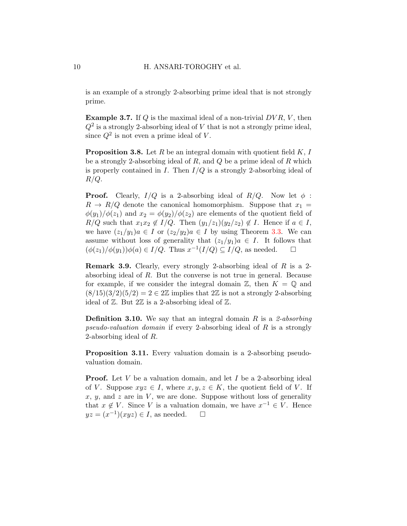is an example of a strongly 2-absorbing prime ideal that is not strongly prime.

<span id="page-9-0"></span>**Example 3.7.** If  $Q$  is the maximal ideal of a non-trivial  $DVR$ ,  $V$ , then  $Q^2$  is a strongly 2-absorbing ideal of V that is not a strongly prime ideal, since  $Q^2$  is not even a prime ideal of V.

**Proposition 3.8.** Let R be an integral domain with quotient field  $K$ , I be a strongly 2-absorbing ideal of  $R$ , and  $Q$  be a prime ideal of  $R$  which is properly contained in I. Then  $I/Q$  is a strongly 2-absorbing ideal of  $R/Q$ .

**Proof.** Clearly,  $I/Q$  is a 2-absorbing ideal of  $R/Q$ . Now let  $\phi$ :  $R \rightarrow R/Q$  denote the canonical homomorphism. Suppose that  $x_1 =$  $\phi(y_1)/\phi(z_1)$  and  $x_2 = \phi(y_2)/\phi(z_2)$  are elements of the quotient field of  $R/Q$  such that  $x_1x_2 \notin I/Q$ . Then  $(y_1/z_1)(y_2/z_2) \notin I$ . Hence if  $a \in I$ , we have  $(z_1/y_1)a \in I$  or  $(z_2/y_2)a \in I$  by using Theorem [3.3.](#page-7-2) We can assume without loss of generality that  $(z_1/y_1)a \in I$ . It follows that  $(\phi(z_1)/\phi(y_1))\phi(a) \in I/Q$ . Thus  $x^{-1}(I/Q) \subseteq I/Q$ , as needed.  $\Box$ 

**Remark 3.9.** Clearly, every strongly 2-absorbing ideal of  $R$  is a 2absorbing ideal of R. But the converse is not true in general. Because for example, if we consider the integral domain  $\mathbb{Z}$ , then  $K = \mathbb{Q}$  and  $(8/15)(3/2)(5/2) = 2 \in 2\mathbb{Z}$  implies that  $2\mathbb{Z}$  is not a strongly 2-absorbing ideal of  $\mathbb{Z}$ . But  $2\mathbb{Z}$  is a 2-absorbing ideal of  $\mathbb{Z}$ .

**Definition 3.10.** We say that an integral domain R is a 2-absorbing pseudo-valuation domain if every 2-absorbing ideal of R is a strongly 2-absorbing ideal of R.

Proposition 3.11. Every valuation domain is a 2-absorbing pseudovaluation domain.

**Proof.** Let V be a valuation domain, and let I be a 2-absorbing ideal of V. Suppose  $xyz \in I$ , where  $x, y, z \in K$ , the quotient field of V. If  $x, y$ , and z are in V, we are done. Suppose without loss of generality that  $x \notin V$ . Since V is a valuation domain, we have  $x^{-1} \in V$ . Hence  $yz = (x^{-1})(xyz) \in I$ , as needed.  $\square$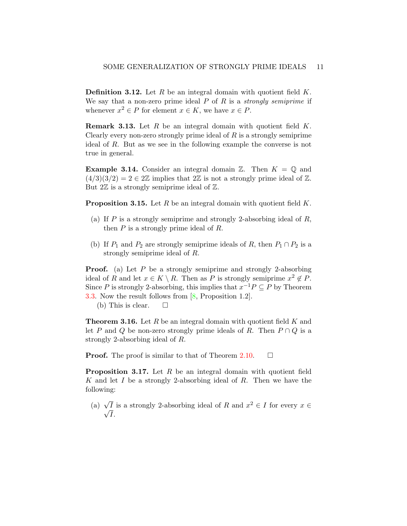**Definition 3.12.** Let R be an integral domain with quotient field  $K$ . We say that a non-zero prime ideal  $P$  of  $R$  is a *strongly semiprime* if whenever  $x^2 \in P$  for element  $x \in K$ , we have  $x \in P$ .

**Remark 3.13.** Let  $R$  be an integral domain with quotient field  $K$ . Clearly every non-zero strongly prime ideal of  $R$  is a strongly semiprime ideal of R. But as we see in the following example the converse is not true in general.

**Example 3.14.** Consider an integral domain  $\mathbb{Z}$ . Then  $K = \mathbb{Q}$  and  $(4/3)(3/2) = 2 \in 2\mathbb{Z}$  implies that  $2\mathbb{Z}$  is not a strongly prime ideal of  $\mathbb{Z}$ . But  $2\mathbb{Z}$  is a strongly semiprime ideal of  $\mathbb{Z}$ .

**Proposition 3.15.** Let R be an integral domain with quotient field  $K$ .

- (a) If  $P$  is a strongly semiprime and strongly 2-absorbing ideal of  $R$ , then  $P$  is a strongly prime ideal of  $R$ .
- (b) If  $P_1$  and  $P_2$  are strongly semiprime ideals of R, then  $P_1 \cap P_2$  is a strongly semiprime ideal of R.

**Proof.** (a) Let P be a strongly semiprime and strongly 2-absorbing ideal of R and let  $x \in K \setminus R$ . Then as P is strongly semiprime  $x^2 \notin P$ . Since P is strongly 2-absorbing, this implies that  $x^{-1}P \subseteq P$  by Theorem [3.3.](#page-7-2) Now the result follows from [\[8,](#page-15-0) Proposition 1.2].

(b) This is clear.  $\square$ 

<span id="page-10-0"></span>**Theorem 3.16.** Let  $R$  be an integral domain with quotient field  $K$  and let P and Q be non-zero strongly prime ideals of R. Then  $P \cap Q$  is a strongly 2-absorbing ideal of R.

**Proof.** The proof is similar to that of Theorem [2.10.](#page-5-0)  $\Box$ 

<span id="page-10-1"></span>**Proposition 3.17.** Let  $R$  be an integral domain with quotient field K and let I be a strongly 2-absorbing ideal of R. Then we have the following:

(a)  $\sqrt{I}$  is a strongly 2-absorbing ideal of R and  $x^2 \in I$  for every  $x \in$  $\sqrt{I}$ .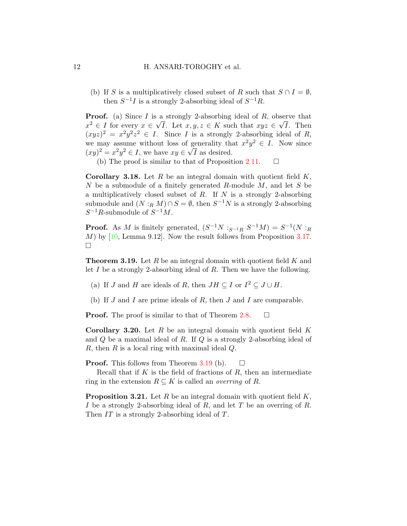(b) If S is a multiplicatively closed subset of R such that  $S \cap I = \emptyset$ , then  $S^{-1}I$  is a strongly 2-absorbing ideal of  $S^{-1}R$ .

**Proof.** (a) Since I is a strongly 2-absorbing ideal of R, observe that  $x^2 \in I$  for every  $x \in \sqrt{I}$ . Let  $x, y, z \in K$  such that  $xyz \in \sqrt{I}$ . Then  $(xyz)^2 = x^2y^2z^2 \in I$ . Since I is a strongly 2-absorbing ideal of R, we may assume without loss of generality that  $x^2y^2 \in I$ . Now since  $(xy)^2 = x^2y^2 \in I$ , we have  $xy \in \sqrt{I}$  as desired.

(b) The proof is similar to that of Proposition [2.11.](#page-6-0)  $\Box$ 

**Corollary 3.18.** Let R be an integral domain with quotient field  $K$ ,  $N$  be a submodule of a finitely generated R-module  $M$ , and let  $S$  be a multiplicatively closed subset of  $R$ . If  $N$  is a strongly 2-absorbing submodule and  $(N:_{R} M) \cap S = \emptyset$ , then  $S^{-1}N$  is a strongly 2-absorbing  $S^{-1}R$ -submodule of  $S^{-1}M$ .

**Proof.** As M is finitely generated,  $(S^{-1}N :_{S^{-1}R} S^{-1}M) = S^{-1}(N :_{R}$  $M$ ) by [\[10,](#page-15-7) Lemma 9.12]. Now the result follows from Proposition [3.17.](#page-10-1)  $\Box$ 

<span id="page-11-0"></span>**Theorem 3.19.** Let R be an integral domain with quotient field K and let  $I$  be a strongly 2-absorbing ideal of  $R$ . Then we have the following.

- (a) If J and H are ideals of R, then  $JH \subseteq I$  or  $I^2 \subseteq J \cup H$ .
- (b) If  $J$  and  $I$  are prime ideals of  $R$ , then  $J$  and  $I$  are comparable.

**Proof.** The proof is similar to that of Theorem [2.8.](#page-4-0)  $\Box$ 

**Corollary 3.20.** Let R be an integral domain with quotient field  $K$ and  $Q$  be a maximal ideal of  $R$ . If  $Q$  is a strongly 2-absorbing ideal of R, then R is a local ring with maximal ideal  $Q$ .

**Proof.** This follows from Theorem [3.19](#page-11-0) (b).  $\Box$ 

Recall that if  $K$  is the field of fractions of  $R$ , then an intermediate ring in the extension  $R \subseteq K$  is called an *overring* of R.

**Proposition 3.21.** Let R be an integral domain with quotient field  $K$ , I be a strongly 2-absorbing ideal of  $R$ , and let  $T$  be an overring of  $R$ . Then IT is a strongly 2-absorbing ideal of T.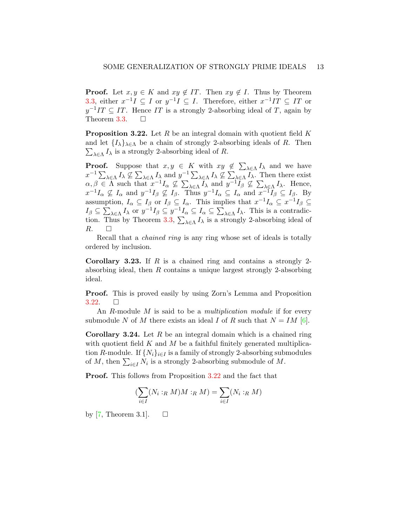**Proof.** Let  $x, y \in K$  and  $xy \notin IT$ . Then  $xy \notin I$ . Thus by Theorem [3.3,](#page-7-2) either  $x^{-1}I \subseteq I$  or  $y^{-1}I \subseteq I$ . Therefore, either  $x^{-1}IT \subseteq IT$  or  $y^{-1}IT \subseteq IT$ . Hence IT is a strongly 2-absorbing ideal of T, again by Theorem [3.3.](#page-7-2)  $\Box$ 

<span id="page-12-0"></span>**Proposition 3.22.** Let R be an integral domain with quotient field K and let  $\{I_{\lambda}\}_{\lambda \in \Lambda}$  be a chain of strongly 2-absorbing ideals of R. Then  $\sum_{\lambda \in \Lambda} I_{\lambda}$  is a strongly 2-absorbing ideal of R.

**Proof.** Suppose that  $x, y \in K$  with  $xy \notin \sum_{\lambda \in \Lambda} I_{\lambda}$  and we have  $x^{-1} \sum_{\lambda \in \Lambda} I_{\lambda} \nsubseteq \sum_{\lambda \in \Lambda} I_{\lambda}$  and  $y^{-1} \sum_{\lambda \in \Lambda} I_{\lambda} \nsubseteq \sum_{\lambda \in \Lambda} I_{\lambda}$ . Then there exist  $\alpha, \beta \in \Lambda$  such that  $x^{-1}I_{\alpha} \nsubseteq \sum_{\lambda \in \Lambda} I_{\lambda}$  and  $y^{-1}I_{\beta} \nsubseteq \sum_{\lambda \in \Lambda} I_{\lambda}$ . Hence,  $x^{-1}I_{\alpha} \nsubseteq I_{\alpha}$  and  $y^{-1}I_{\beta} \nsubseteq I_{\beta}$ . Thus  $y^{-1}I_{\alpha} \subseteq I_{\alpha}$  and  $x^{-1}I_{\beta} \subseteq I_{\beta}$ . By assumption,  $I_{\alpha} \subseteq I_{\beta}$  or  $I_{\beta} \subseteq I_{\alpha}$ . This implies that  $x^{-1}I_{\alpha} \subseteq x^{-1}I_{\beta} \subseteq I_{\beta}$  $I_{\beta} \subseteq \sum_{\lambda \in \Lambda} I_{\lambda}$  or  $y^{-1} I_{\beta} \subseteq y^{-1} I_{\alpha} \subseteq I_{\alpha} \subseteq \sum_{\lambda \in \Lambda} I_{\lambda}$ . This is a contradic-tion. Thus by Theorem [3.3,](#page-7-2)  $\sum_{\lambda \in \Lambda} I_{\lambda}$  is a strongly 2-absorbing ideal of  $R. \Box$ 

Recall that a chained ring is any ring whose set of ideals is totally ordered by inclusion.

**Corollary 3.23.** If  $R$  is a chained ring and contains a strongly 2absorbing ideal, then R contains a unique largest strongly 2-absorbing ideal.

Proof. This is proved easily by using Zorn's Lemma and Proposition  $3.22. \square$  $3.22. \square$ 

An R-module M is said to be a *multiplication module* if for every submodule N of M there exists an ideal I of R such that  $N = IM$  [\[6\]](#page-15-8).

**Corollary 3.24.** Let  $R$  be an integral domain which is a chained ring with quotient field  $K$  and  $M$  be a faithful finitely generated multiplication R-module. If  $\{N_i\}_{i\in I}$  is a family of strongly 2-absorbing submodules of M, then  $\sum_{i \in I} N_i$  is a strongly 2-absorbing submodule of M.

Proof. This follows from Proposition [3.22](#page-12-0) and the fact that

$$
(\sum_{i \in I} (N_i :_R M) M :_R M) = \sum_{i \in I} (N_i :_R M)
$$

by [\[7,](#page-15-9) Theorem 3.1].  $\square$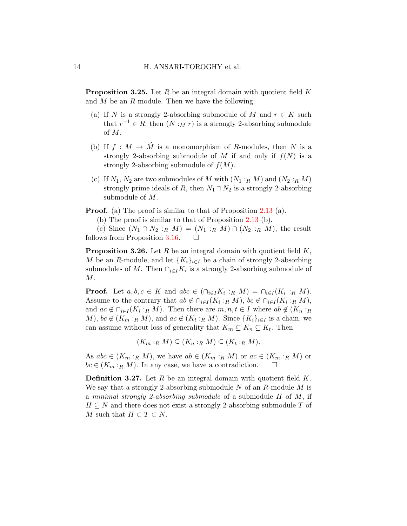**Proposition 3.25.** Let R be an integral domain with quotient field K and  $M$  be an  $R$ -module. Then we have the following:

- (a) If N is a strongly 2-absorbing submodule of M and  $r \in K$  such that  $r^{-1} \in R$ , then  $(N : M r)$  is a strongly 2-absorbing submodule of M.
- (b) If  $f : M \to \hat{M}$  is a monomorphism of R-modules, then N is a strongly 2-absorbing submodule of M if and only if  $f(N)$  is a strongly 2-absorbing submodule of  $f(M)$ .
- (c) If  $N_1, N_2$  are two submodules of M with  $(N_1 :_R M)$  and  $(N_2 :_R M)$ strongly prime ideals of R, then  $N_1 \cap N_2$  is a strongly 2-absorbing submodule of M.

**Proof.** (a) The proof is similar to that of Proposition [2.13](#page-6-1) (a).

(b) The proof is similar to that of Proposition [2.13](#page-6-1) (b).

(c) Since  $(N_1 \cap N_2 :_R M) = (N_1 :_R M) \cap (N_2 :_R M)$ , the result follows from Proposition [3.16.](#page-10-0)  $\Box$ 

<span id="page-13-0"></span>**Proposition 3.26.** Let  $R$  be an integral domain with quotient field  $K$ , M be an R-module, and let  ${K_i}_{i\in I}$  be a chain of strongly 2-absorbing submodules of M. Then  $\bigcap_{i\in I} K_i$  is a strongly 2-absorbing submodule of  $M$ .

**Proof.** Let  $a, b, c \in K$  and  $abc \in (\bigcap_{i \in I} K_i :_R M) = \bigcap_{i \in I} (K_i :_R M)$ . Assume to the contrary that  $ab \notin \bigcap_{i \in I} (K_i :_R M), bc \notin \bigcap_{i \in I} (K_i :_R M),$ and  $ac \notin \bigcap_{i \in I} (K_i :_R M)$ . Then there are  $m, n, t \in I$  where  $ab \notin (K_n :_R K)$ *M*),  $bc \notin (K_m :_R M)$ , and  $ac \notin (K_t :_R M)$ . Since  $\{K_i\}_{i \in I}$  is a chain, we can assume without loss of generality that  $K_m \subseteq K_n \subseteq K_t$ . Then

$$
(K_m:_{R} M) \subseteq (K_n:_{R} M) \subseteq (K_t:_{R} M).
$$

As  $abc \in (K_m :_R M)$ , we have  $ab \in (K_m :_R M)$  or  $ac \in (K_m :_R M)$  or  $bc \in (K_m :_R M)$ . In any case, we have a contradiction.  $\square$ 

**Definition 3.27.** Let R be an integral domain with quotient field  $K$ . We say that a strongly 2-absorbing submodule  $N$  of an  $R$ -module  $M$  is a minimal strongly 2-absorbing submodule of a submodule H of M, if  $H \subseteq N$  and there does not exist a strongly 2-absorbing submodule T of M such that  $H \subset T \subset N$ .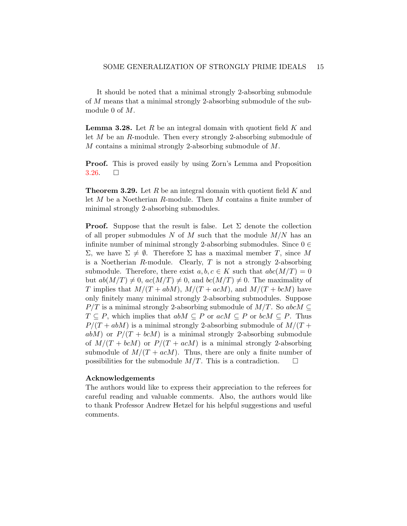It should be noted that a minimal strongly 2-absorbing submodule of M means that a minimal strongly 2-absorbing submodule of the submodule 0 of M.

**Lemma 3.28.** Let  $R$  be an integral domain with quotient field  $K$  and let M be an R-module. Then every strongly 2-absorbing submodule of M contains a minimal strongly 2-absorbing submodule of M.

Proof. This is proved easily by using Zorn's Lemma and Proposition  $3.26.$   $\Box$ 

<span id="page-14-0"></span>**Theorem 3.29.** Let R be an integral domain with quotient field K and let M be a Noetherian R-module. Then M contains a finite number of minimal strongly 2-absorbing submodules.

**Proof.** Suppose that the result is false. Let  $\Sigma$  denote the collection of all proper submodules N of M such that the module  $M/N$  has an infinite number of minimal strongly 2-absorbing submodules. Since  $0 \in$  $Σ$ , we have  $Σ ≠ ∅$ . Therefore Σ has a maximal member T, since M is a Noetherian  $R$ -module. Clearly,  $T$  is not a strongly 2-absorbing submodule. Therefore, there exist  $a, b, c \in K$  such that  $abc(M/T) = 0$ but  $ab(M/T) \neq 0$ ,  $ac(M/T) \neq 0$ , and  $bc(M/T) \neq 0$ . The maximality of T implies that  $M/(T + abM)$ ,  $M/(T + acM)$ , and  $M/(T + bcM)$  have only finitely many minimal strongly 2-absorbing submodules. Suppose  $P/T$  is a minimal strongly 2-absorbing submodule of  $M/T$ . So abcM  $\subseteq$  $T \subseteq P$ , which implies that  $abM \subseteq P$  or  $acM \subseteq P$  or  $bcM \subseteq P$ . Thus  $P/(T + abM)$  is a minimal strongly 2-absorbing submodule of  $M/(T +$  $abM$ ) or  $P/(T + bcM)$  is a minimal strongly 2-absorbing submodule of  $M/(T + bcM)$  or  $P/(T + acM)$  is a minimal strongly 2-absorbing submodule of  $M/(T + a c)$ . Thus, there are only a finite number of possibilities for the submodule  $M/T$ . This is a contradiction.  $\square$ 

#### Acknowledgements

The authors would like to express their appreciation to the referees for careful reading and valuable comments. Also, the authors would like to thank Professor Andrew Hetzel for his helpful suggestions and useful comments.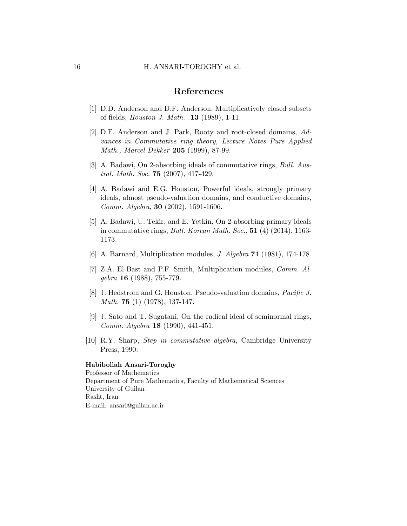#### 16 H. ANSARI-TOROGHY et al.

# References

- <span id="page-15-4"></span>[1] D.D. Anderson and D.F. Anderson, Multiplicatively closed subsets of fields, Houston J. Math. 13 (1989), 1-11.
- <span id="page-15-6"></span>[2] D.F. Anderson and J. Park, Rooty and root-closed domains, Advances in Commutative ring theory, Lecture Notes Pure Applied Math., Marcel Dekker 205 (1999), 87-99.
- <span id="page-15-2"></span>[3] A. Badawi, On 2-absorbing ideals of commutative rings, Bull. Austral. Math. Soc. 75 (2007), 417-429.
- <span id="page-15-1"></span>[4] A. Badawi and E.G. Houston, Powerful ideals, strongly primary ideals, almost pseudo-valuation domains, and conductive domains, Comm. Algebra, 30 (2002), 1591-1606.
- <span id="page-15-3"></span>[5] A. Badawi, U. Tekir, and E. Yetkin, On 2-absorbing primary ideals in commutative rings, Bull. Korean Math. Soc., 51 (4) (2014), 1163- 1173.
- <span id="page-15-8"></span>[6] A. Barnard, Multiplication modules, J. Algebra 71 (1981), 174-178.
- <span id="page-15-9"></span>[7] Z.A. El-Bast and P.F. Smith, Multiplication modules, Comm. Al $qebra$  16 (1988), 755-779.
- <span id="page-15-0"></span>[8] J. Hedstrom and G. Houston, Pseudo-valuation domains, Pacific J. Math. 75 (1) (1978), 137-147.
- <span id="page-15-5"></span>[9] J. Sato and T. Sugatani, On the radical ideal of seminormal rings, Comm. Algebra 18 (1990), 441-451.
- <span id="page-15-7"></span>[10] R.Y. Sharp, Step in commutative algebra, Cambridge University Press, 1990.

#### Habibollah Ansari-Toroghy

Professor of Mathematics Department of Pure Mathematics, Faculty of Mathematical Sciences University of Guilan Rasht, Iran E-mail: ansari@guilan.ac.ir